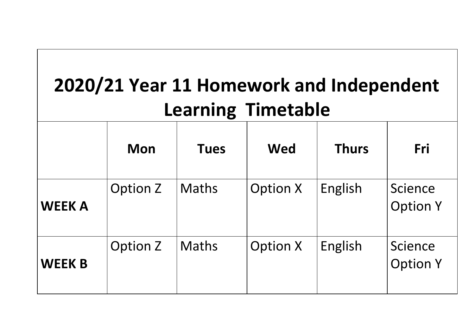| 2020/21 Year 11 Homework and Independent<br><b>Learning Timetable</b> |                 |              |                 |              |                            |
|-----------------------------------------------------------------------|-----------------|--------------|-----------------|--------------|----------------------------|
|                                                                       | <b>Mon</b>      | <b>Tues</b>  | <b>Wed</b>      | <b>Thurs</b> | Fri                        |
| <b>WEEK A</b>                                                         | <b>Option Z</b> | <b>Maths</b> | <b>Option X</b> | English      | Science<br><b>Option Y</b> |
| <b>WEEK B</b>                                                         | <b>Option Z</b> | <b>Maths</b> | <b>Option X</b> | English      | Science<br><b>Option Y</b> |